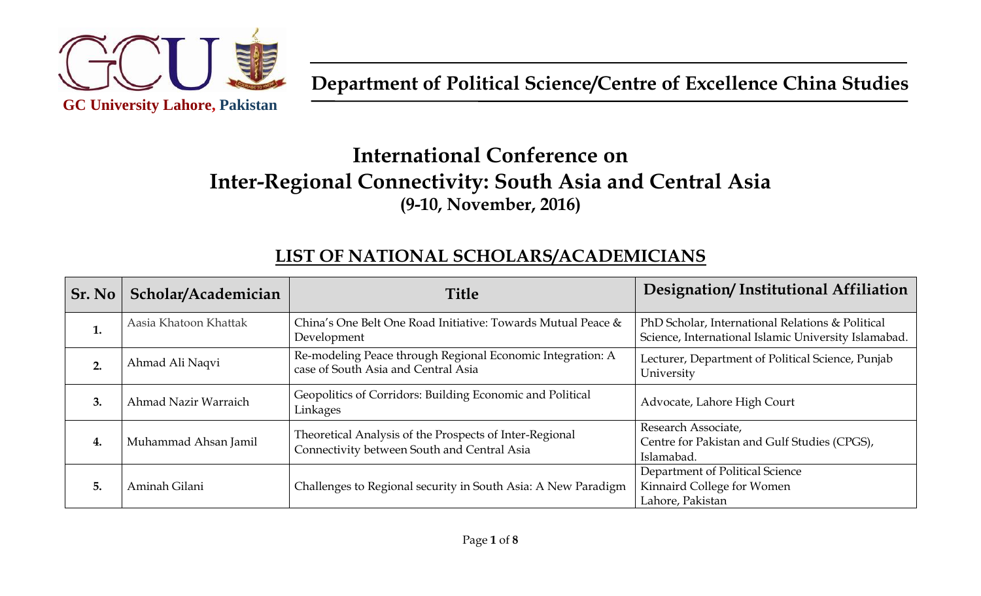

# **International Conference on Inter-Regional Connectivity: South Asia and Central Asia (9-10, November, 2016)**

#### **LIST OF NATIONAL SCHOLARS/ACADEMICIANS**

| Sr. No | Scholar/Academician   | <b>Title</b>                                                                                           | Designation/Institutional Affiliation                                                                    |
|--------|-----------------------|--------------------------------------------------------------------------------------------------------|----------------------------------------------------------------------------------------------------------|
| 1.     | Aasia Khatoon Khattak | China's One Belt One Road Initiative: Towards Mutual Peace &<br>Development                            | PhD Scholar, International Relations & Political<br>Science, International Islamic University Islamabad. |
| 2.     | Ahmad Ali Naqvi       | Re-modeling Peace through Regional Economic Integration: A<br>case of South Asia and Central Asia      | Lecturer, Department of Political Science, Punjab<br>University                                          |
| 3.     | Ahmad Nazir Warraich  | Geopolitics of Corridors: Building Economic and Political<br>Linkages                                  | Advocate, Lahore High Court                                                                              |
| 4.     | Muhammad Ahsan Jamil  | Theoretical Analysis of the Prospects of Inter-Regional<br>Connectivity between South and Central Asia | Research Associate,<br>Centre for Pakistan and Gulf Studies (CPGS),<br>Islamabad.                        |
| 5.     | Aminah Gilani         | Challenges to Regional security in South Asia: A New Paradigm                                          | Department of Political Science<br>Kinnaird College for Women<br>Lahore, Pakistan                        |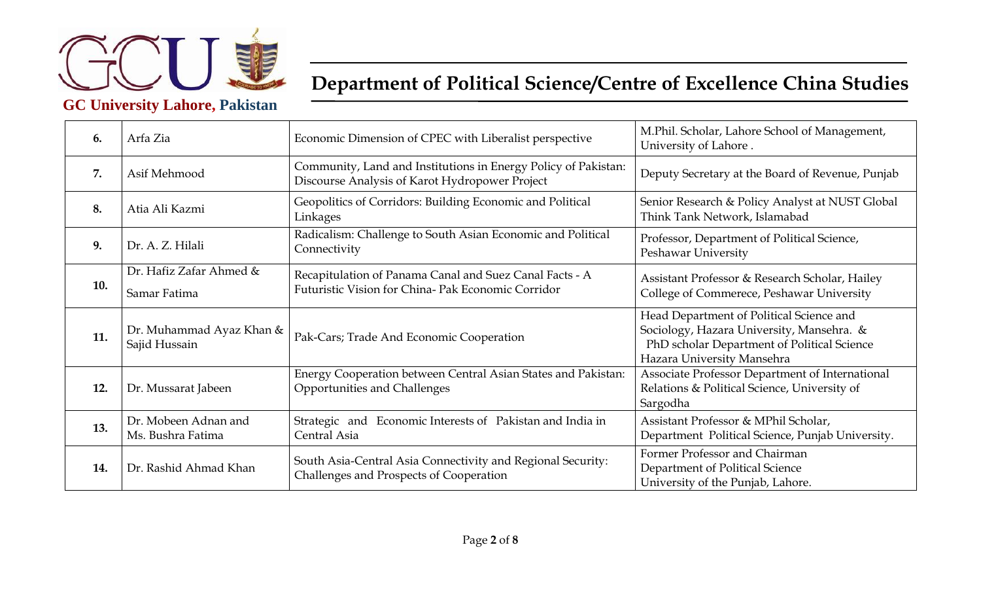

| 6.  | Arfa Zia                                  | Economic Dimension of CPEC with Liberalist perspective                                                           | M.Phil. Scholar, Lahore School of Management,<br>University of Lahore.                                                                                             |
|-----|-------------------------------------------|------------------------------------------------------------------------------------------------------------------|--------------------------------------------------------------------------------------------------------------------------------------------------------------------|
| 7.  | Asif Mehmood                              | Community, Land and Institutions in Energy Policy of Pakistan:<br>Discourse Analysis of Karot Hydropower Project | Deputy Secretary at the Board of Revenue, Punjab                                                                                                                   |
| 8.  | Atia Ali Kazmi                            | Geopolitics of Corridors: Building Economic and Political<br>Linkages                                            | Senior Research & Policy Analyst at NUST Global<br>Think Tank Network, Islamabad                                                                                   |
| 9.  | Dr. A. Z. Hilali                          | Radicalism: Challenge to South Asian Economic and Political<br>Connectivity                                      | Professor, Department of Political Science,<br>Peshawar University                                                                                                 |
| 10. | Dr. Hafiz Zafar Ahmed &<br>Samar Fatima   | Recapitulation of Panama Canal and Suez Canal Facts - A<br>Futuristic Vision for China- Pak Economic Corridor    | Assistant Professor & Research Scholar, Hailey<br>College of Commerece, Peshawar University                                                                        |
| 11. | Dr. Muhammad Ayaz Khan &<br>Sajid Hussain | Pak-Cars; Trade And Economic Cooperation                                                                         | Head Department of Political Science and<br>Sociology, Hazara University, Mansehra. &<br>PhD scholar Department of Political Science<br>Hazara University Mansehra |
| 12. | Dr. Mussarat Jabeen                       | Energy Cooperation between Central Asian States and Pakistan:<br>Opportunities and Challenges                    | Associate Professor Department of International<br>Relations & Political Science, University of<br>Sargodha                                                        |
| 13. | Dr. Mobeen Adnan and<br>Ms. Bushra Fatima | Strategic and Economic Interests of Pakistan and India in<br>Central Asia                                        | Assistant Professor & MPhil Scholar,<br>Department Political Science, Punjab University.                                                                           |
| 14. | Dr. Rashid Ahmad Khan                     | South Asia-Central Asia Connectivity and Regional Security:<br>Challenges and Prospects of Cooperation           | Former Professor and Chairman<br>Department of Political Science<br>University of the Punjab, Lahore.                                                              |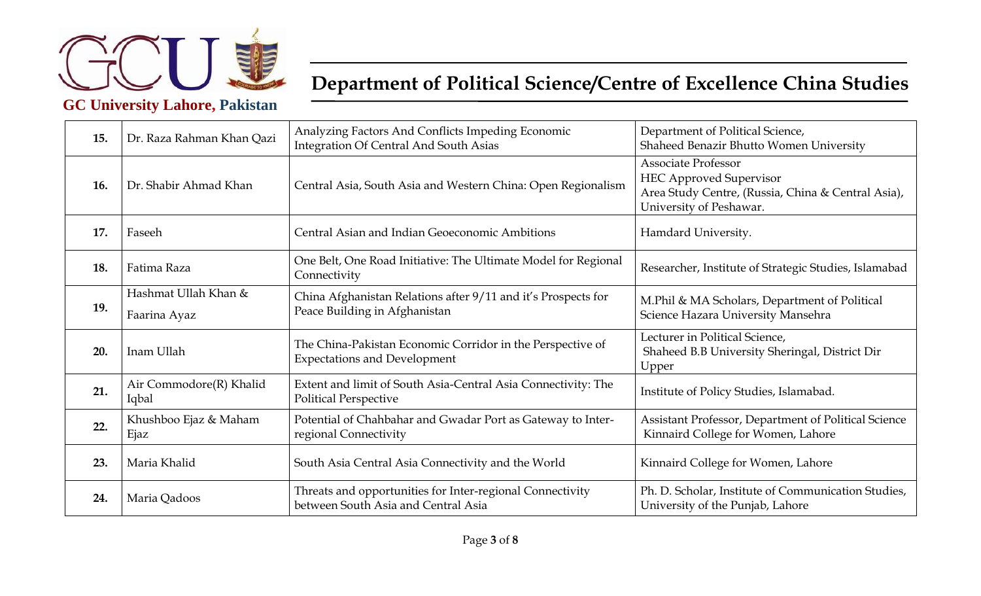

| 15. | Dr. Raza Rahman Khan Qazi            | Analyzing Factors And Conflicts Impeding Economic<br><b>Integration Of Central And South Asias</b> | Department of Political Science,<br>Shaheed Benazir Bhutto Women University                                                                   |
|-----|--------------------------------------|----------------------------------------------------------------------------------------------------|-----------------------------------------------------------------------------------------------------------------------------------------------|
| 16. | Dr. Shabir Ahmad Khan                | Central Asia, South Asia and Western China: Open Regionalism                                       | <b>Associate Professor</b><br><b>HEC Approved Supervisor</b><br>Area Study Centre, (Russia, China & Central Asia),<br>University of Peshawar. |
| 17. | Faseeh                               | Central Asian and Indian Geoeconomic Ambitions                                                     | Hamdard University.                                                                                                                           |
| 18. | Fatima Raza                          | One Belt, One Road Initiative: The Ultimate Model for Regional<br>Connectivity                     | Researcher, Institute of Strategic Studies, Islamabad                                                                                         |
| 19. | Hashmat Ullah Khan &<br>Faarina Ayaz | China Afghanistan Relations after 9/11 and it's Prospects for<br>Peace Building in Afghanistan     | M.Phil & MA Scholars, Department of Political<br>Science Hazara University Mansehra                                                           |
| 20. | Inam Ullah                           | The China-Pakistan Economic Corridor in the Perspective of<br><b>Expectations and Development</b>  | Lecturer in Political Science,<br>Shaheed B.B University Sheringal, District Dir<br>Upper                                                     |
| 21. | Air Commodore(R) Khalid<br>Iqbal     | Extent and limit of South Asia-Central Asia Connectivity: The<br><b>Political Perspective</b>      | Institute of Policy Studies, Islamabad.                                                                                                       |
| 22. | Khushboo Ejaz & Maham<br>Ejaz        | Potential of Chahbahar and Gwadar Port as Gateway to Inter-<br>regional Connectivity               | Assistant Professor, Department of Political Science<br>Kinnaird College for Women, Lahore                                                    |
| 23. | Maria Khalid                         | South Asia Central Asia Connectivity and the World                                                 | Kinnaird College for Women, Lahore                                                                                                            |
| 24. | Maria Qadoos                         | Threats and opportunities for Inter-regional Connectivity<br>between South Asia and Central Asia   | Ph. D. Scholar, Institute of Communication Studies,<br>University of the Punjab, Lahore                                                       |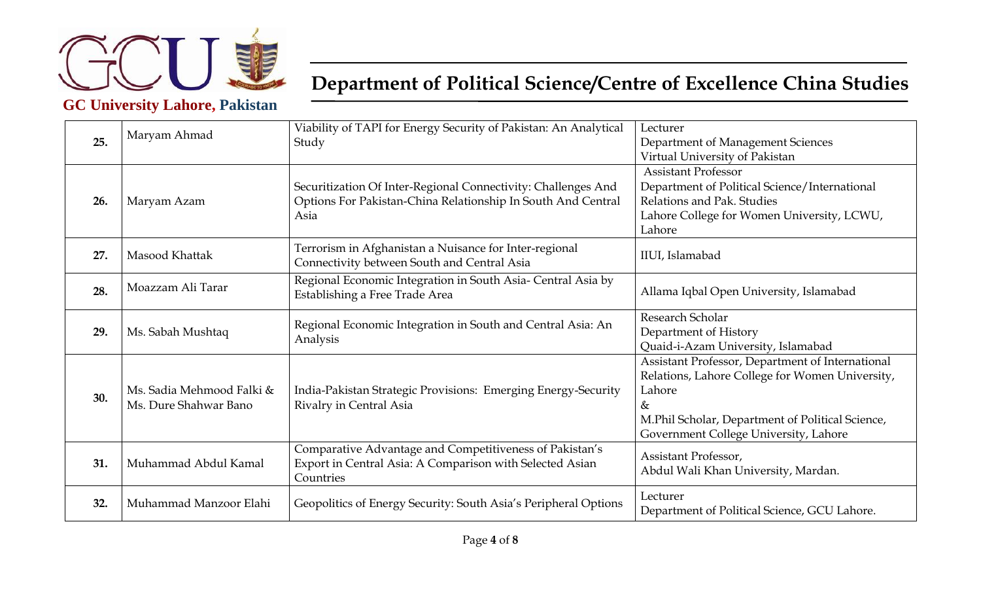

|     | Maryam Ahmad                                       | Viability of TAPI for Energy Security of Pakistan: An Analytical                                                                 | Lecturer                                         |
|-----|----------------------------------------------------|----------------------------------------------------------------------------------------------------------------------------------|--------------------------------------------------|
| 25. |                                                    | Study                                                                                                                            | Department of Management Sciences                |
|     |                                                    |                                                                                                                                  | Virtual University of Pakistan                   |
|     |                                                    |                                                                                                                                  | <b>Assistant Professor</b>                       |
|     |                                                    | Securitization Of Inter-Regional Connectivity: Challenges And                                                                    | Department of Political Science/International    |
| 26. | Maryam Azam                                        | Options For Pakistan-China Relationship In South And Central<br>Asia                                                             | Relations and Pak. Studies                       |
|     |                                                    |                                                                                                                                  | Lahore College for Women University, LCWU,       |
|     |                                                    |                                                                                                                                  | Lahore                                           |
|     |                                                    | Terrorism in Afghanistan a Nuisance for Inter-regional                                                                           |                                                  |
| 27. | Masood Khattak                                     | Connectivity between South and Central Asia                                                                                      | IIUI, Islamabad                                  |
|     |                                                    | Regional Economic Integration in South Asia- Central Asia by                                                                     |                                                  |
| 28. | Moazzam Ali Tarar                                  | Establishing a Free Trade Area                                                                                                   | Allama Iqbal Open University, Islamabad          |
|     |                                                    |                                                                                                                                  |                                                  |
|     | Ms. Sabah Mushtaq                                  | Regional Economic Integration in South and Central Asia: An<br>Analysis                                                          | Research Scholar                                 |
| 29. |                                                    |                                                                                                                                  | Department of History                            |
|     |                                                    |                                                                                                                                  | Quaid-i-Azam University, Islamabad               |
|     |                                                    |                                                                                                                                  | Assistant Professor, Department of International |
|     |                                                    |                                                                                                                                  | Relations, Lahore College for Women University,  |
| 30. | Ms. Sadia Mehmood Falki &<br>Ms. Dure Shahwar Bano | India-Pakistan Strategic Provisions: Emerging Energy-Security<br>Rivalry in Central Asia                                         | Lahore                                           |
|     |                                                    |                                                                                                                                  | $\&$                                             |
|     |                                                    |                                                                                                                                  | M.Phil Scholar, Department of Political Science, |
|     |                                                    |                                                                                                                                  | Government College University, Lahore            |
| 31. | Muhammad Abdul Kamal                               | Comparative Advantage and Competitiveness of Pakistan's<br>Export in Central Asia: A Comparison with Selected Asian<br>Countries | Assistant Professor,                             |
|     |                                                    |                                                                                                                                  | Abdul Wali Khan University, Mardan.              |
|     |                                                    |                                                                                                                                  |                                                  |
|     |                                                    |                                                                                                                                  | Lecturer                                         |
| 32. | Muhammad Manzoor Elahi                             | Geopolitics of Energy Security: South Asia's Peripheral Options                                                                  | Department of Political Science, GCU Lahore.     |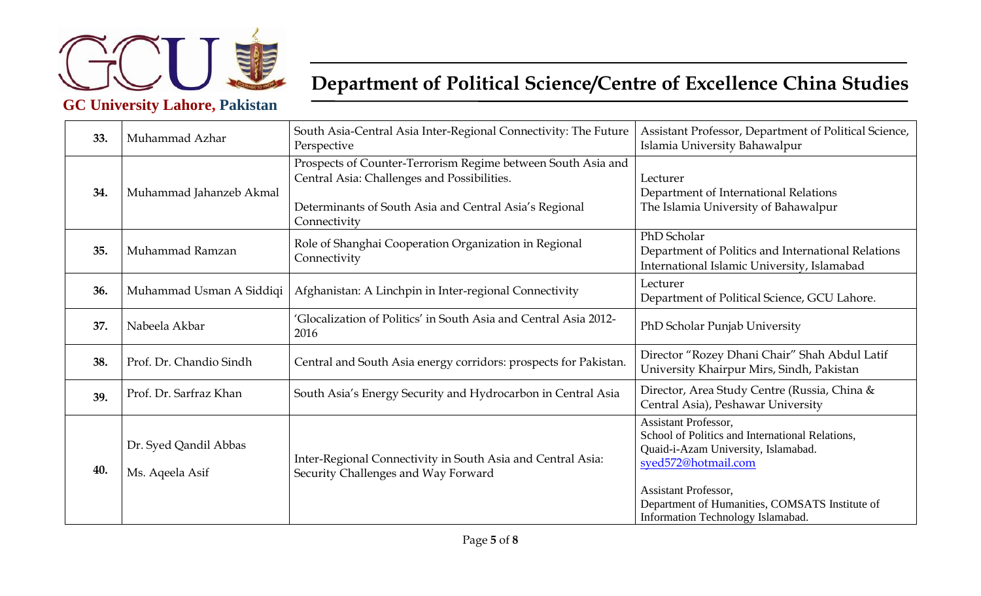

| 33. | Muhammad Azhar                           | South Asia-Central Asia Inter-Regional Connectivity: The Future<br>Perspective                                                                                                        | Assistant Professor, Department of Political Science,<br>Islamia University Bahawalpur                                                                                                                                                                      |
|-----|------------------------------------------|---------------------------------------------------------------------------------------------------------------------------------------------------------------------------------------|-------------------------------------------------------------------------------------------------------------------------------------------------------------------------------------------------------------------------------------------------------------|
| 34. | Muhammad Jahanzeb Akmal                  | Prospects of Counter-Terrorism Regime between South Asia and<br>Central Asia: Challenges and Possibilities.<br>Determinants of South Asia and Central Asia's Regional<br>Connectivity | Lecturer<br>Department of International Relations<br>The Islamia University of Bahawalpur                                                                                                                                                                   |
| 35. | Muhammad Ramzan                          | Role of Shanghai Cooperation Organization in Regional<br>Connectivity                                                                                                                 | PhD Scholar<br>Department of Politics and International Relations<br>International Islamic University, Islamabad                                                                                                                                            |
| 36. | Muhammad Usman A Siddiqi                 | Afghanistan: A Linchpin in Inter-regional Connectivity                                                                                                                                | Lecturer<br>Department of Political Science, GCU Lahore.                                                                                                                                                                                                    |
| 37. | Nabeela Akbar                            | 'Glocalization of Politics' in South Asia and Central Asia 2012-<br>2016                                                                                                              | PhD Scholar Punjab University                                                                                                                                                                                                                               |
| 38. | Prof. Dr. Chandio Sindh                  | Central and South Asia energy corridors: prospects for Pakistan.                                                                                                                      | Director "Rozey Dhani Chair" Shah Abdul Latif<br>University Khairpur Mirs, Sindh, Pakistan                                                                                                                                                                  |
| 39. | Prof. Dr. Sarfraz Khan                   | South Asia's Energy Security and Hydrocarbon in Central Asia                                                                                                                          | Director, Area Study Centre (Russia, China &<br>Central Asia), Peshawar University                                                                                                                                                                          |
| 40. | Dr. Syed Qandil Abbas<br>Ms. Aqeela Asif | Inter-Regional Connectivity in South Asia and Central Asia:<br>Security Challenges and Way Forward                                                                                    | Assistant Professor,<br>School of Politics and International Relations,<br>Quaid-i-Azam University, Islamabad.<br>syed572@hotmail.com<br><b>Assistant Professor,</b><br>Department of Humanities, COMSATS Institute of<br>Information Technology Islamabad. |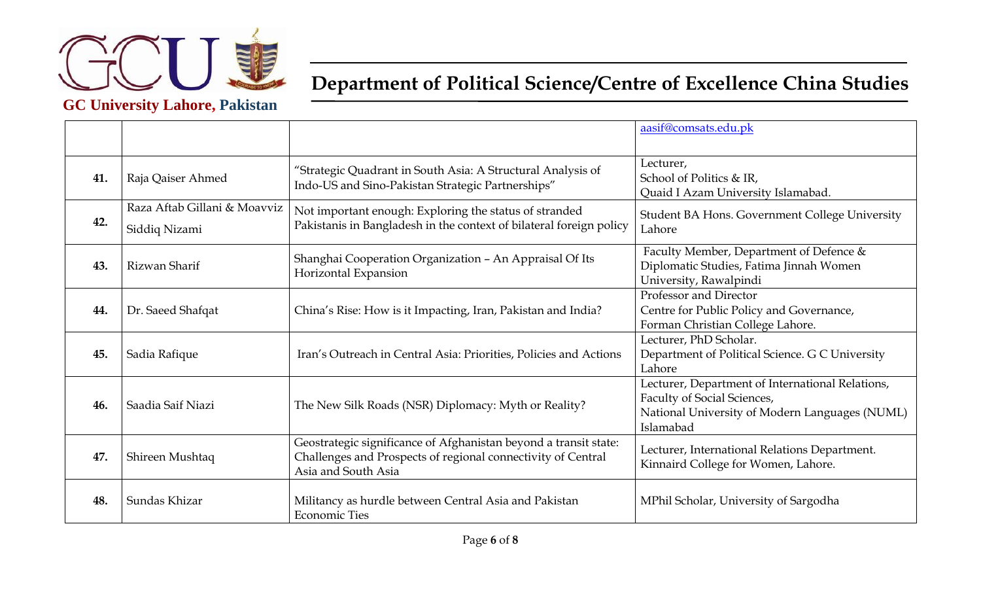

|     |                                               |                                                                                                                                                         | aasif@comsats.edu.pk                                                                                                                           |
|-----|-----------------------------------------------|---------------------------------------------------------------------------------------------------------------------------------------------------------|------------------------------------------------------------------------------------------------------------------------------------------------|
| 41. | Raja Qaiser Ahmed                             | "Strategic Quadrant in South Asia: A Structural Analysis of<br>Indo-US and Sino-Pakistan Strategic Partnerships"                                        | Lecturer,<br>School of Politics & IR,<br>Quaid I Azam University Islamabad.                                                                    |
| 42. | Raza Aftab Gillani & Moavviz<br>Siddiq Nizami | Not important enough: Exploring the status of stranded<br>Pakistanis in Bangladesh in the context of bilateral foreign policy                           | Student BA Hons. Government College University<br>Lahore                                                                                       |
| 43. | Rizwan Sharif                                 | Shanghai Cooperation Organization - An Appraisal Of Its<br>Horizontal Expansion                                                                         | Faculty Member, Department of Defence &<br>Diplomatic Studies, Fatima Jinnah Women<br>University, Rawalpindi                                   |
| 44. | Dr. Saeed Shafqat                             | China's Rise: How is it Impacting, Iran, Pakistan and India?                                                                                            | Professor and Director<br>Centre for Public Policy and Governance,<br>Forman Christian College Lahore.                                         |
| 45. | Sadia Rafique                                 | Iran's Outreach in Central Asia: Priorities, Policies and Actions                                                                                       | Lecturer, PhD Scholar.<br>Department of Political Science. G C University<br>Lahore                                                            |
| 46. | Saadia Saif Niazi                             | The New Silk Roads (NSR) Diplomacy: Myth or Reality?                                                                                                    | Lecturer, Department of International Relations,<br>Faculty of Social Sciences,<br>National University of Modern Languages (NUML)<br>Islamabad |
| 47. | Shireen Mushtaq                               | Geostrategic significance of Afghanistan beyond a transit state:<br>Challenges and Prospects of regional connectivity of Central<br>Asia and South Asia | Lecturer, International Relations Department.<br>Kinnaird College for Women, Lahore.                                                           |
| 48. | Sundas Khizar                                 | Militancy as hurdle between Central Asia and Pakistan<br><b>Economic Ties</b>                                                                           | MPhil Scholar, University of Sargodha                                                                                                          |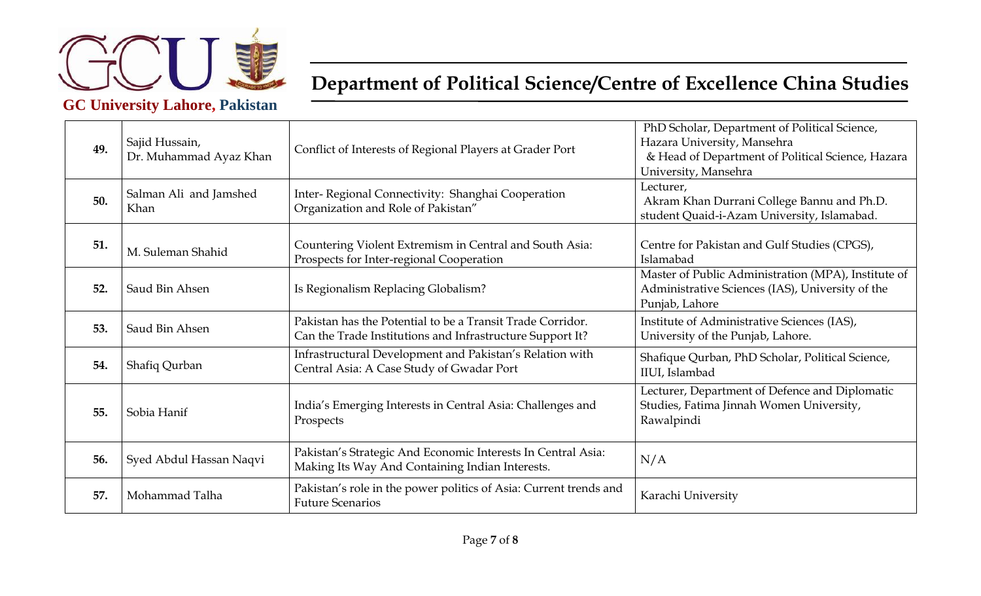

| 49. | Sajid Hussain,<br>Dr. Muhammad Ayaz Khan | Conflict of Interests of Regional Players at Grader Port                                                                | PhD Scholar, Department of Political Science,<br>Hazara University, Mansehra<br>& Head of Department of Political Science, Hazara<br>University, Mansehra |
|-----|------------------------------------------|-------------------------------------------------------------------------------------------------------------------------|-----------------------------------------------------------------------------------------------------------------------------------------------------------|
| 50. | Salman Ali and Jamshed<br>Khan           | Inter-Regional Connectivity: Shanghai Cooperation<br>Organization and Role of Pakistan"                                 | Lecturer,<br>Akram Khan Durrani College Bannu and Ph.D.<br>student Quaid-i-Azam University, Islamabad.                                                    |
| 51. | M. Suleman Shahid                        | Countering Violent Extremism in Central and South Asia:<br>Prospects for Inter-regional Cooperation                     | Centre for Pakistan and Gulf Studies (CPGS),<br>Islamabad                                                                                                 |
| 52. | Saud Bin Ahsen                           | Is Regionalism Replacing Globalism?                                                                                     | Master of Public Administration (MPA), Institute of<br>Administrative Sciences (IAS), University of the<br>Punjab, Lahore                                 |
| 53. | Saud Bin Ahsen                           | Pakistan has the Potential to be a Transit Trade Corridor.<br>Can the Trade Institutions and Infrastructure Support It? | Institute of Administrative Sciences (IAS),<br>University of the Punjab, Lahore.                                                                          |
| 54. | Shafiq Qurban                            | Infrastructural Development and Pakistan's Relation with<br>Central Asia: A Case Study of Gwadar Port                   | Shafique Qurban, PhD Scholar, Political Science,<br>IIUI, Islambad                                                                                        |
| 55. | Sobia Hanif                              | India's Emerging Interests in Central Asia: Challenges and<br>Prospects                                                 | Lecturer, Department of Defence and Diplomatic<br>Studies, Fatima Jinnah Women University,<br>Rawalpindi                                                  |
| 56. | Syed Abdul Hassan Naqvi                  | Pakistan's Strategic And Economic Interests In Central Asia:<br>Making Its Way And Containing Indian Interests.         | N/A                                                                                                                                                       |
| 57. | Mohammad Talha                           | Pakistan's role in the power politics of Asia: Current trends and<br><b>Future Scenarios</b>                            | Karachi University                                                                                                                                        |